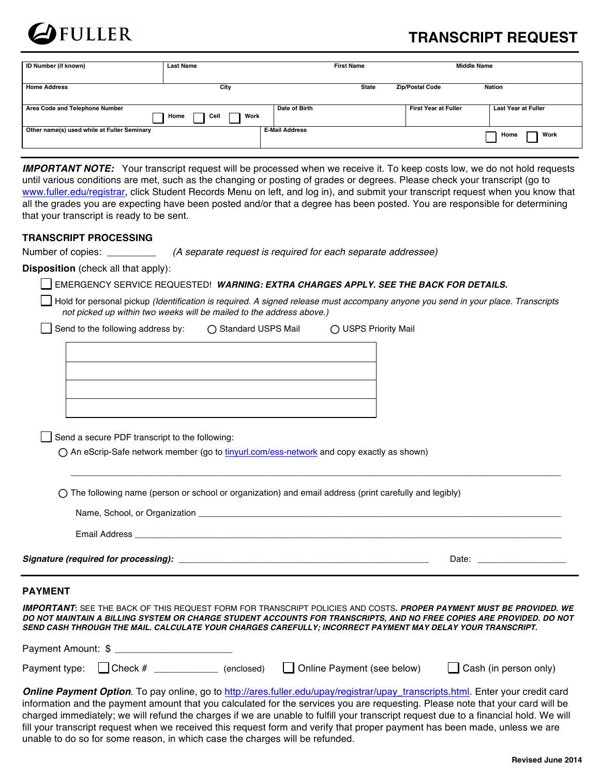

# **TRANSCRIPT REQUEST**

| ID Number (if known)                        | <b>Last Name</b>     |                       | <b>First Name</b> | <b>Middle Name</b>          |                            |
|---------------------------------------------|----------------------|-----------------------|-------------------|-----------------------------|----------------------------|
| <b>Home Address</b>                         | City                 |                       | State             | <b>Zip/Postal Code</b>      | <b>Nation</b>              |
|                                             |                      |                       |                   |                             |                            |
| Area Code and Telephone Number              | Work<br>Home<br>Cell | Date of Birth         |                   | <b>First Year at Fuller</b> | <b>Last Year at Fuller</b> |
| Other name(s) used while at Fuller Seminary |                      | <b>E-Mail Address</b> |                   |                             | Work<br>Home               |
|                                             |                      |                       |                   |                             |                            |

*IMPORTANT NOTE:* Your transcript request will be processed when we receive it. To keep costs low, we do not hold requests until various conditions are met, such as the changing or posting of grades or degrees. Please check your transcript (go to www.fuller.edu/registrar, click Student Records Menu on left, and log in), and submit your transcript request when you know that all the grades you are expecting have been posted and/or that a degree has been posted. You are responsible for determining that your transcript is ready to be sent.

### **TRANSCRIPT PROCESSING**

Number of copies: \_\_\_\_\_\_\_\_\_ *(A separate request is required for each separate addressee)*

**Disposition** (check all that apply):

| <b>I EMERGENCY SERVICE REQUESTED! WARNING: EXTRA CHARGES APPLY. SEE THE BACK FOR DETAILS.</b> |
|-----------------------------------------------------------------------------------------------|
|-----------------------------------------------------------------------------------------------|

Hold for personal pickup *(Identification is required. A signed release must accompany anyone you send in your place. Transcripts not picked up within two weeks will be mailed to the address above.)*

| Send to the following address by: $\bigcirc$ Standard USPS Mail | ◯ USPS Priority Mail |
|-----------------------------------------------------------------|----------------------|
|                                                                 |                      |
|                                                                 |                      |
|                                                                 |                      |
|                                                                 |                      |

 $\Box$  Send a secure PDF transcript to the following:

An eScrip-Safe network member (go to tinyurl.com/ess-network and copy exactly as shown)

 $\bigcirc$  The following name (person or school or organization) and email address (print carefully and legibly)

| Name, School, or Organization        |       |
|--------------------------------------|-------|
| Email Address                        |       |
| Signature (required for processing): | Date: |

\_\_\_\_\_\_\_\_\_\_\_\_\_\_\_\_\_\_\_\_\_\_\_\_\_\_\_\_\_\_\_\_\_\_\_\_\_\_\_\_\_\_\_\_\_\_\_\_\_\_\_\_\_\_\_\_\_\_\_\_\_\_\_\_\_\_\_\_\_\_\_\_\_\_\_\_\_\_\_\_\_\_\_\_\_\_\_\_\_\_\_\_\_\_\_\_\_\_\_\_

#### **PAYMENT**

*IMPORTANT***:** SEE THE BACK OF THIS REQUEST FORM FOR TRANSCRIPT POLICIES AND COSTS**.** *PROPER PAYMENT MUST BE PROVIDED. WE DO NOT MAINTAIN A BILLING SYSTEM OR CHARGE STUDENT ACCOUNTS FOR TRANSCRIPTS, AND NO FREE COPIES ARE PROVIDED. DO NOT SEND CASH THROUGH THE MAIL. CALCULATE YOUR CHARGES CAREFULLY; INCORRECT PAYMENT MAY DELAY YOUR TRANSCRIPT.*

| Payment Amount: \$ |  |  |
|--------------------|--|--|
|                    |  |  |

| Payment type: $\Box$ Check # |  | (enclosed) $□$ Online Payment (see below) | Cash (in person only) |  |
|------------------------------|--|-------------------------------------------|-----------------------|--|
|                              |  |                                           |                       |  |

*Online Payment Option*. To pay online, go to http://ares.fuller.edu/upay/registrar/upay\_transcripts.html. Enter your credit card information and the payment amount that you calculated for the services you are requesting. Please note that your card will be charged immediately; we will refund the charges if we are unable to fulfill your transcript request due to a financial hold. We will fill your transcript request when we received this request form and verify that proper payment has been made, unless we are unable to do so for some reason, in which case the charges will be refunded.